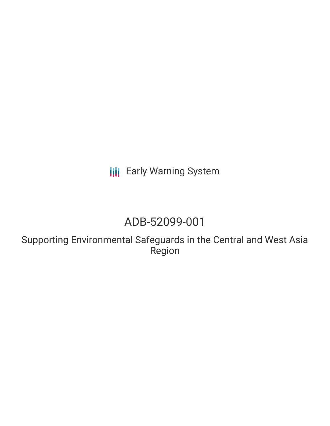**III** Early Warning System

# ADB-52099-001

Supporting Environmental Safeguards in the Central and West Asia Region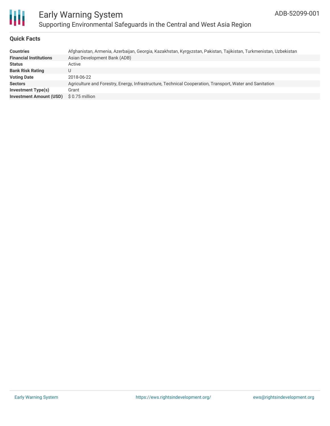

### Early Warning System Supporting Environmental Safeguards in the Central and West Asia Region

#### **Quick Facts**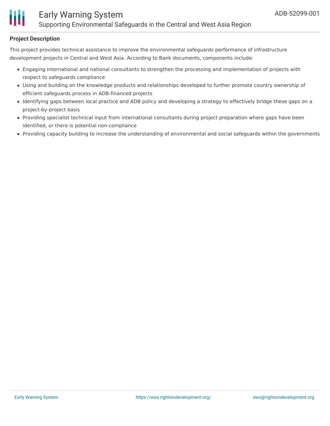

#### **Project Description**

This project provides technical assistance to improve the environmental safeguards performance of infrastructure development projects in Central and West Asia. According to Bank documents, components include:

- Engaging international and national consultants to strengthen the processing and implementation of projects with respect to safeguards compliance
- Using and building on the knowledge products and relationships developed to further promote country ownership of efficient safeguards process in ADB-financed projects
- Identifying gaps between local practice and ADB policy and developing a strategy to effectively bridge these gaps on a project-by-project basis
- Providing specialist technical input from international consultants during project preparation where gaps have been identified, or there is potential non-compliance
- Providing capacity building to increase the understanding of environmental and social safeguards within the governments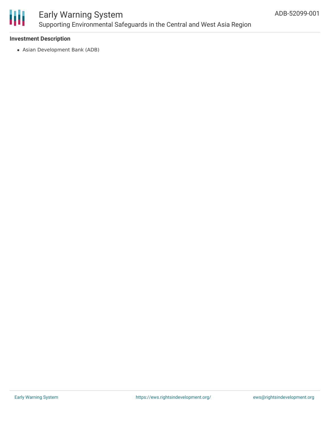

### Early Warning System Supporting Environmental Safeguards in the Central and West Asia Region

#### **Investment Description**

Asian Development Bank (ADB)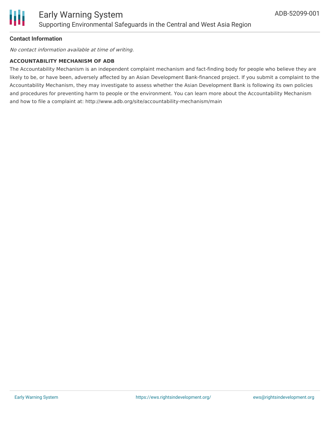

#### **Contact Information**

No contact information available at time of writing.

#### **ACCOUNTABILITY MECHANISM OF ADB**

The Accountability Mechanism is an independent complaint mechanism and fact-finding body for people who believe they are likely to be, or have been, adversely affected by an Asian Development Bank-financed project. If you submit a complaint to the Accountability Mechanism, they may investigate to assess whether the Asian Development Bank is following its own policies and procedures for preventing harm to people or the environment. You can learn more about the Accountability Mechanism and how to file a complaint at: http://www.adb.org/site/accountability-mechanism/main